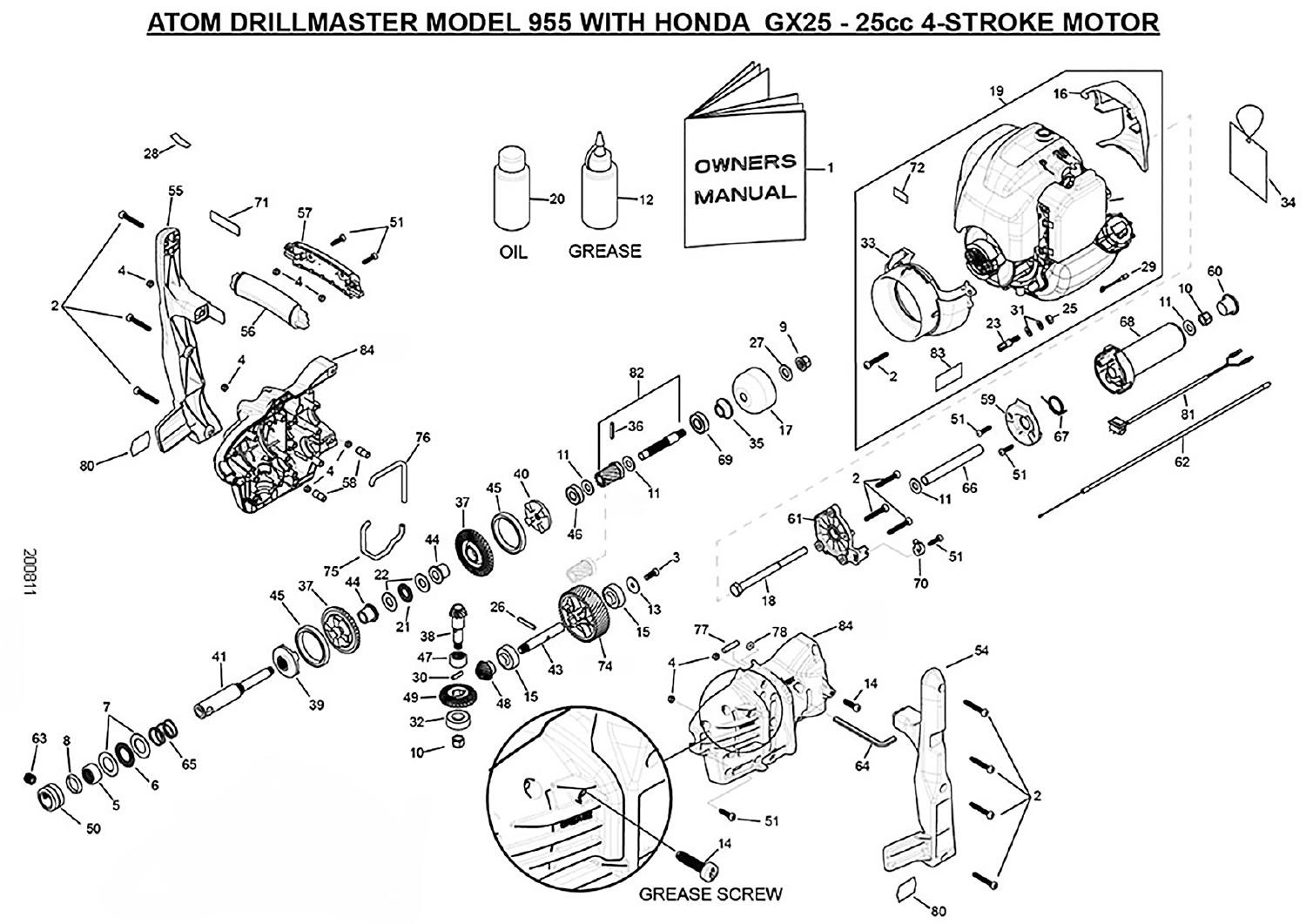## ATOM DRILLMASTER MODEL 955 WITH HONDA GX25 - 25cc 4-STROKE MOTOR